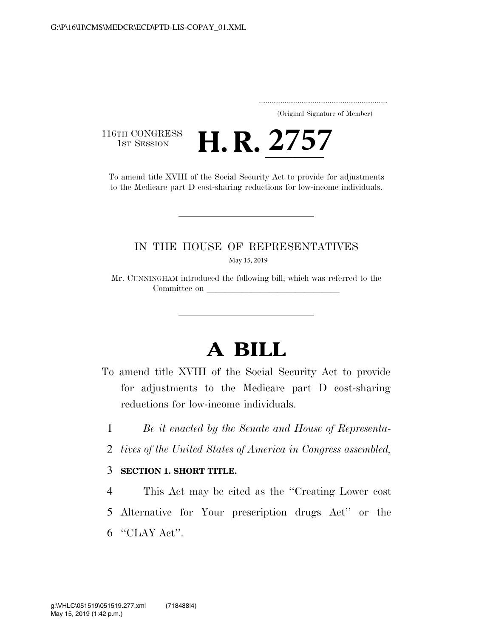..................................................................... (Original Signature of Member)

116TH CONGRESS<br>1st Session

1ST SESSION **H. R. 2757**<br>To amend title XVIII of the Social Security Act to provide for adjustments to the Medicare part D cost-sharing reductions for low-income individuals.

## IN THE HOUSE OF REPRESENTATIVES May 15, 2019

Mr. CUNNINGHAM introduced the following bill; which was referred to the Committee on

## **A BILL**

- To amend title XVIII of the Social Security Act to provide for adjustments to the Medicare part D cost-sharing reductions for low-income individuals.
	- 1 *Be it enacted by the Senate and House of Representa-*
	- 2 *tives of the United States of America in Congress assembled,*

## 3 **SECTION 1. SHORT TITLE.**

4 This Act may be cited as the ''Creating Lower cost 5 Alternative for Your prescription drugs Act'' or the 6 ''CLAY Act''.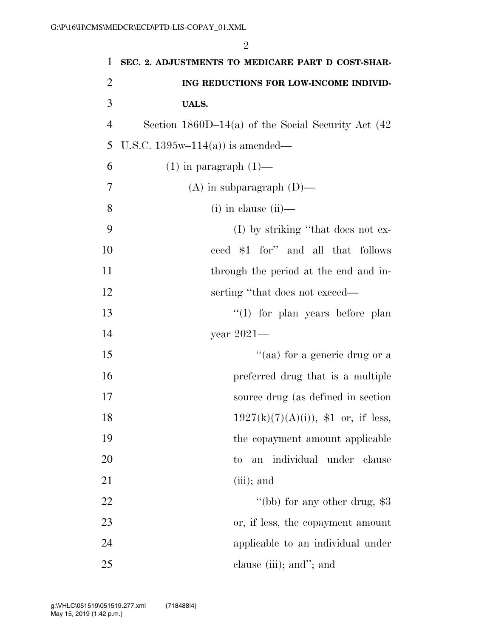| 1              | SEC. 2. ADJUSTMENTS TO MEDICARE PART D COST-SHAR-       |
|----------------|---------------------------------------------------------|
| 2              | ING REDUCTIONS FOR LOW-INCOME INDIVID-                  |
| 3              | <b>UALS.</b>                                            |
| $\overline{4}$ | Section $1860D-14(a)$ of the Social Security Act $(42)$ |
| 5              | U.S.C. $1395w-114(a)$ is amended—                       |
| 6              | $(1)$ in paragraph $(1)$ —                              |
| 7              | $(A)$ in subparagraph $(D)$ —                           |
| 8              | $(i)$ in clause $(ii)$ —                                |
| 9              | $(I)$ by striking "that does not ex-                    |
| 10             | ceed \$1 for" and all that follows                      |
| 11             | through the period at the end and in-                   |
| 12             | serting "that does not exceed—                          |
| 13             | "(I) for plan years before plan                         |
| 14             | year $2021-$                                            |
| 15             | "(aa) for a generic drug or a                           |
| 16             | preferred drug that is a multiple                       |
| 17             | source drug (as defined in section                      |
| 18             | $1927(k)(7)(A)(i)$ , \$1 or, if less,                   |
| 19             | the copayment amount applicable                         |
| 20             | an individual under clause<br>$\rm{to}$                 |
| 21             | $(iii)$ ; and                                           |
| 22             | "(bb) for any other drug, $$3$                          |
| 23             | or, if less, the copayment amount                       |
| 24             | applicable to an individual under                       |
| 25             | clause (iii); and"; and                                 |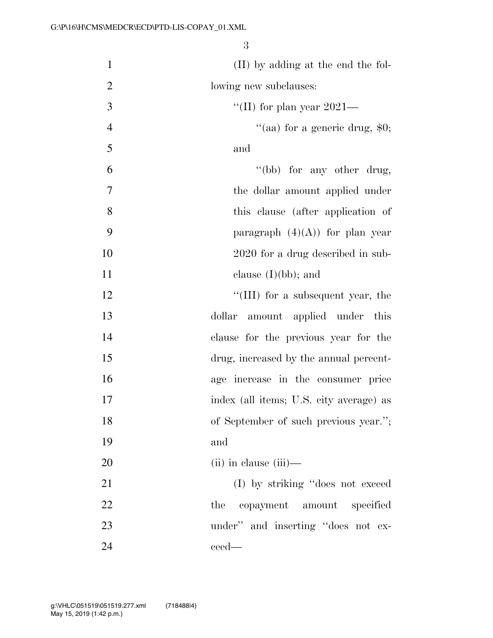| $\mathbf{1}$   | (II) by adding at the end the fol-        |
|----------------|-------------------------------------------|
| $\overline{2}$ | lowing new subclauses:                    |
| 3              | "(II) for plan year $2021-$               |
| $\overline{4}$ | "(aa) for a generic drug, $$0;$           |
| 5              | and                                       |
| 6              | "(bb) for any other drug,                 |
| $\overline{7}$ | the dollar amount applied under           |
| 8              | this clause (after application of         |
| 9              | paragraph $(4)(A)$ for plan year          |
| 10             | 2020 for a drug described in sub-         |
| 11             | clause $(I)(bb)$ ; and                    |
| 12             | $\lq\lq$ (III) for a subsequent year, the |
| 13             | dollar<br>amount applied under<br>this    |
| 14             | clause for the previous year for the      |
| 15             | drug, increased by the annual percent-    |
| 16             | age increase in the consumer price        |
| 17             | index (all items; U.S. city average) as   |
| 18             | of September of such previous year.";     |
| 19             | and                                       |
| 20             | $(ii)$ in clause $(iii)$ —                |
| 21             | (I) by striking "does not exceed          |
| 22             | the<br>copayment amount specified         |
| 23             | under" and inserting "does not ex-        |
| 24             | ceed—                                     |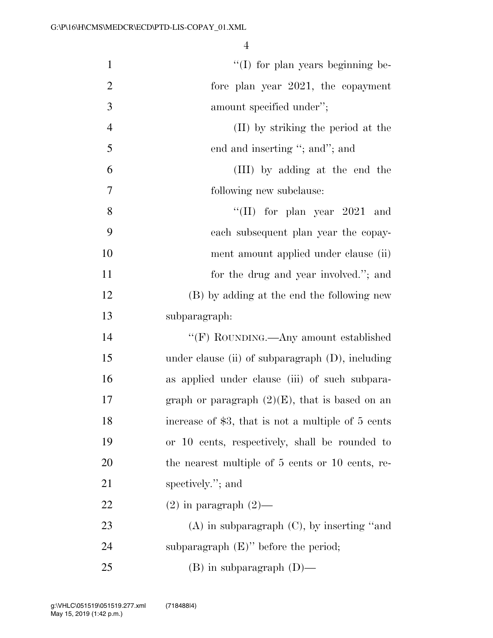| $\mathbf{1}$   | $\lq\lq$ (I) for plan years beginning be-           |
|----------------|-----------------------------------------------------|
| $\overline{2}$ | fore plan year $2021$ , the copayment               |
| 3              | amount specified under";                            |
| $\overline{4}$ | (II) by striking the period at the                  |
| 5              | end and inserting "; and"; and                      |
| 6              | (III) by adding at the end the                      |
| 7              | following new subclause:                            |
| 8              | "(II) for plan year $2021$ and                      |
| 9              | each subsequent plan year the copay-                |
| 10             | ment amount applied under clause (ii)               |
| 11             | for the drug and year involved."; and               |
| 12             | (B) by adding at the end the following new          |
| 13             | subparagraph:                                       |
| 14             | "(F) ROUNDING.—Any amount established               |
| 15             | under clause (ii) of subparagraph $(D)$ , including |
| 16             | as applied under clause (iii) of such subpara-      |
| 17             | graph or paragraph $(2)(E)$ , that is based on an   |
| 18             | increase of \$3, that is not a multiple of 5 cents  |
| 19             | or 10 cents, respectively, shall be rounded to      |
| 20             | the nearest multiple of 5 cents or 10 cents, re-    |
| 21             | spectively."; and                                   |
| 22             | $(2)$ in paragraph $(2)$ —                          |
| 23             | $(A)$ in subparagraph $(C)$ , by inserting "and     |
| 24             | subparagraph $(E)$ " before the period;             |
| 25             | $(B)$ in subparagraph $(D)$ —                       |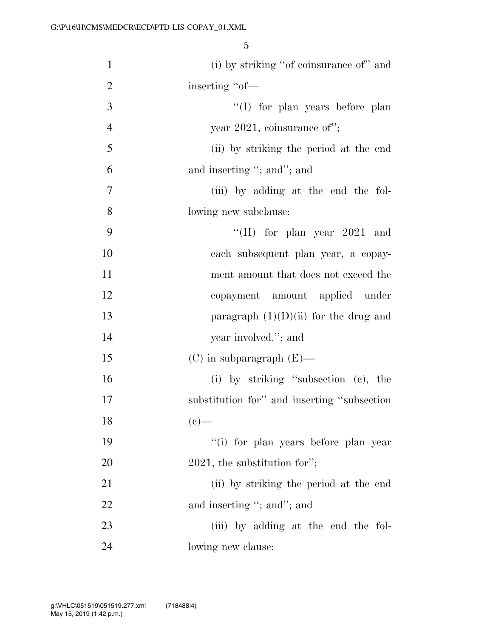| $\mathbf{1}$   | (i) by striking "of coinsurance of" and     |
|----------------|---------------------------------------------|
| $\overline{2}$ | inserting "of-                              |
| 3              | "(I) for plan years before plan             |
| $\overline{4}$ | year 2021, coinsurance of";                 |
| 5              | (ii) by striking the period at the end      |
| 6              | and inserting "; and"; and                  |
| 7              | (iii) by adding at the end the fol-         |
| 8              | lowing new subclause:                       |
| 9              | "(II) for plan year $2021$ and              |
| 10             | each subsequent plan year, a copay-         |
| 11             | ment amount that does not exceed the        |
| 12             | copayment amount applied under              |
| 13             | paragraph $(1)(D)(ii)$ for the drug and     |
| 14             | year involved."; and                        |
| 15             | $(C)$ in subparagraph $(E)$ —               |
| 16             | (i) by striking "subsection (c), the        |
| 17             | substitution for" and inserting "subsection |
| 18             | $(e)$ —                                     |
| 19             | "(i) for plan years before plan year        |
| 20             | $2021$ , the substitution for";             |
| 21             | (ii) by striking the period at the end      |
| 22             | and inserting "; and"; and                  |
| 23             | (iii) by adding at the end the fol-         |
| 24             | lowing new clause:                          |